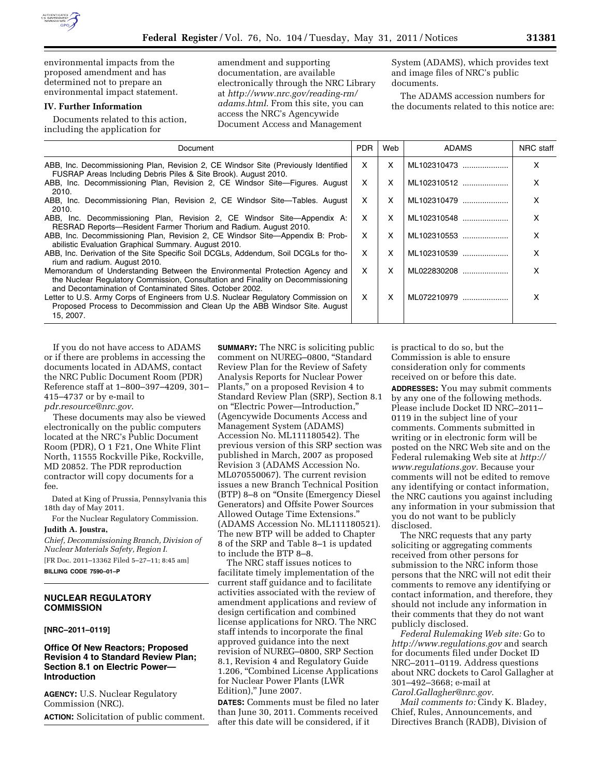environmental impacts from the proposed amendment and has determined not to prepare an environmental impact statement.

### **IV. Further Information**

Documents related to this action, including the application for

amendment and supporting documentation, are available electronically through the NRC Library at *[http://www.nrc.gov/reading-rm/](http://www.nrc.gov/reading-rm/adams.html) [adams.html](http://www.nrc.gov/reading-rm/adams.html)*. From this site, you can access the NRC's Agencywide Document Access and Management

System (ADAMS), which provides text and image files of NRC's public documents.

The ADAMS accession numbers for the documents related to this notice are:

| Document                                                                                                                                                                                                                   | PDR. | Web | <b>ADAMS</b> | NRC staff |
|----------------------------------------------------------------------------------------------------------------------------------------------------------------------------------------------------------------------------|------|-----|--------------|-----------|
| ABB, Inc. Decommissioning Plan, Revision 2, CE Windsor Site (Previously Identified<br>FUSRAP Areas Including Debris Piles & Site Brook). August 2010.                                                                      | x    | X   | ML102310473  |           |
| ABB, Inc. Decommissioning Plan, Revision 2, CE Windsor Site-Figures. August<br>2010.                                                                                                                                       | x    | X   | ML102310512  |           |
| ABB, Inc. Decommissioning Plan, Revision 2, CE Windsor Site—Tables. August<br>2010.                                                                                                                                        | x    | X   | ML102310479  | x         |
| ABB, Inc. Decommissioning Plan, Revision 2, CE Windsor Site—Appendix A:<br>RESRAD Reports—Resident Farmer Thorium and Radium. August 2010.                                                                                 | X    | X   | ML102310548  |           |
| ABB, Inc. Decommissioning Plan, Revision 2, CE Windsor Site—Appendix B: Prob-<br>abilistic Evaluation Graphical Summary. August 2010.                                                                                      | x    | x   | ML102310553  | x         |
| ABB, Inc. Derivation of the Site Specific Soil DCGLs, Addendum, Soil DCGLs for tho-<br>rium and radium. August 2010.                                                                                                       | x    | X   | ML102310539  |           |
| Memorandum of Understanding Between the Environmental Protection Agency and<br>the Nuclear Regulatory Commission, Consultation and Finality on Decommissioning<br>and Decontamination of Contaminated Sites. October 2002. | x    | X   | ML022830208  |           |
| Letter to U.S. Army Corps of Engineers from U.S. Nuclear Regulatory Commission on<br>Proposed Process to Decommission and Clean Up the ABB Windsor Site. August<br>15, 2007.                                               | X    | X   | ML072210979  |           |

If you do not have access to ADAMS or if there are problems in accessing the documents located in ADAMS, contact the NRC Public Document Room (PDR) Reference staff at 1–800–397–4209, 301– 415–4737 or by e-mail to *[pdr.resource@nrc.gov](mailto:pdr.resource@nrc.gov)*.

These documents may also be viewed electronically on the public computers located at the NRC's Public Document Room (PDR), O 1 F21, One White Flint North, 11555 Rockville Pike, Rockville, MD 20852. The PDR reproduction contractor will copy documents for a fee.

Dated at King of Prussia, Pennsylvania this 18th day of May 2011.

For the Nuclear Regulatory Commission. **Judith A. Joustra,** 

*Chief, Decommissioning Branch, Division of Nuclear Materials Safety, Region I.*  [FR Doc. 2011–13362 Filed 5–27–11; 8:45 am]

**BILLING CODE 7590–01–P** 

## **NUCLEAR REGULATORY COMMISSION**

# **[NRC–2011–0119]**

### **Office Of New Reactors; Proposed Revision 4 to Standard Review Plan; Section 8.1 on Electric Power— Introduction**

**AGENCY:** U.S. Nuclear Regulatory Commission (NRC). **ACTION:** Solicitation of public comment.

**SUMMARY:** The NRC is soliciting public comment on NUREG–0800, ''Standard Review Plan for the Review of Safety Analysis Reports for Nuclear Power Plants,'' on a proposed Revision 4 to Standard Review Plan (SRP), Section 8.1 on ''Electric Power—Introduction,'' (Agencywide Documents Access and Management System (ADAMS) Accession No. ML111180542). The previous version of this SRP section was published in March, 2007 as proposed Revision 3 (ADAMS Accession No. ML070550067). The current revision issues a new Branch Technical Position (BTP) 8–8 on ''Onsite (Emergency Diesel Generators) and Offsite Power Sources Allowed Outage Time Extensions.'' (ADAMS Accession No. ML111180521). The new BTP will be added to Chapter 8 of the SRP and Table 8–1 is updated to include the BTP 8–8.

The NRC staff issues notices to facilitate timely implementation of the current staff guidance and to facilitate activities associated with the review of amendment applications and review of design certification and combined license applications for NRO. The NRC staff intends to incorporate the final approved guidance into the next revision of NUREG–0800, SRP Section 8.1, Revision 4 and Regulatory Guide 1.206, ''Combined License Applications for Nuclear Power Plants (LWR Edition),'' June 2007.

**DATES:** Comments must be filed no later than June 30, 2011. Comments received after this date will be considered, if it

is practical to do so, but the Commission is able to ensure consideration only for comments received on or before this date.

**ADDRESSES:** You may submit comments by any one of the following methods. Please include Docket ID NRC–2011– 0119 in the subject line of your comments. Comments submitted in writing or in electronic form will be posted on the NRC Web site and on the Federal rulemaking Web site at *[http://](http://www.regulations.gov) [www.regulations.gov.](http://www.regulations.gov)* Because your comments will not be edited to remove any identifying or contact information, the NRC cautions you against including any information in your submission that you do not want to be publicly disclosed.

The NRC requests that any party soliciting or aggregating comments received from other persons for submission to the NRC inform those persons that the NRC will not edit their comments to remove any identifying or contact information, and therefore, they should not include any information in their comments that they do not want publicly disclosed.

*Federal Rulemaking Web site:* Go to *<http://www.regulations.gov>* and search for documents filed under Docket ID NRC–2011–0119. Address questions about NRC dockets to Carol Gallagher at 301–492–3668; e-mail at *[Carol.Gallagher@nrc.gov.](mailto:Carol.Gallagher@nrc.gov)* 

*Mail comments to:* Cindy K. Bladey, Chief, Rules, Announcements, and Directives Branch (RADB), Division of